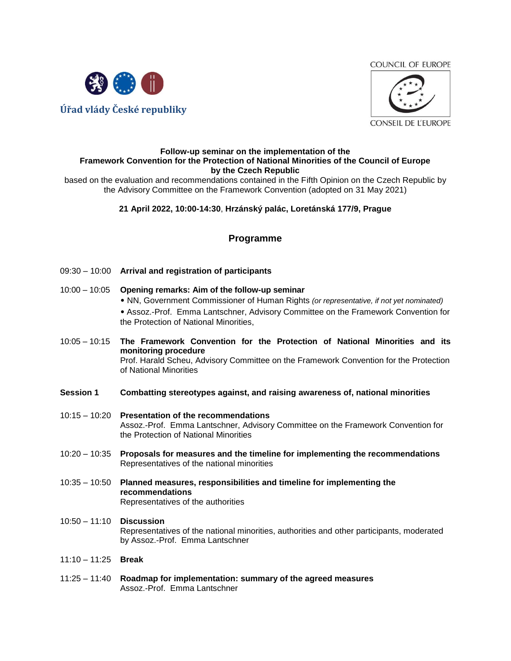**COUNCIL OF EUROPE** 





#### **Follow-up seminar on the implementation of the Framework Convention for the Protection of National Minorities of the Council of Europe by the Czech Republic**

based on the evaluation and recommendations contained in the Fifth Opinion on the Czech Republic by the Advisory Committee on the Framework Convention (adopted on 31 May 2021)

# **21 April 2022, 10:00-14:30**, **Hrzánský palác, Loretánská 177/9, Prague**

# **Programme**

- 09:30 10:00 **Arrival and registration of participants**
- 10:00 10:05 **Opening remarks: Aim of the follow-up seminar** 
	- NN, Government Commissioner of Human Rights *(or representative, if not yet nominated)*
	- Assoz.-Prof. Emma Lantschner, Advisory Committee on the Framework Convention for the Protection of National Minorities,
- 10:05 10:15 **The Framework Convention for the Protection of National Minorities and its monitoring procedure** Prof. Harald Scheu, Advisory Committee on the Framework Convention for the Protection of National Minorities
- **Session 1 Combatting stereotypes against, and raising awareness of, national minorities**
- 10:15 10:20 **Presentation of the recommendations**  Assoz.-Prof. Emma Lantschner, Advisory Committee on the Framework Convention for the Protection of National Minorities
- 10:20 10:35 **Proposals for measures and the timeline for implementing the recommendations**  Representatives of the national minorities
- 10:35 10:50 **Planned measures, responsibilities and timeline for implementing the recommendations** Representatives of the authorities
- 10:50 11:10 **Discussion** Representatives of the national minorities, authorities and other participants, moderated by Assoz.-Prof. Emma Lantschner
- 11:10 11:25 **Break**
- 11:25 11:40 **Roadmap for implementation: summary of the agreed measures**  Assoz.-Prof. Emma Lantschner